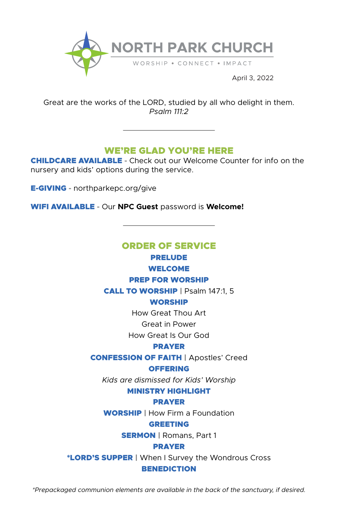

April 3, 2022

Great are the works of the LORD, studied by all who delight in them. *Psalm 111:2*

## WE'RE GLAD YOU'RE HERE

CHILDCARE AVAILABLE **-** Check out our Welcome Counter for info on the nursery and kids' options during the service.

E-GIVING **-** northparkepc.org/give

WIFI AVAILABLE **-** Our **NPC Guest** password is **Welcome!**

# ORDER OF SERVICE PRELUDE

## WELCOME

## PREP FOR WORSHIP

CALL TO WORSHIP | Psalm 147:1, 5

## **WORSHIP**

How Great Thou Art

Great in Power

How Great Is Our God

#### PRAYER

## CONFESSION OF FAITH | Apostles' Creed

#### **OFFERING**

*Kids are dismissed for Kids' Worship*

## MINISTRY HIGHLIGHT

## PRAYER

WORSHIP | How Firm a Foundation

#### GREETING

**SERMON** | Romans, Part 1

#### PRAYER

\*LORD'S SUPPER | When I Survey the Wondrous Cross

#### BENEDICTION

*\*Prepackaged communion elements are available in the back of the sanctuary, if desired.*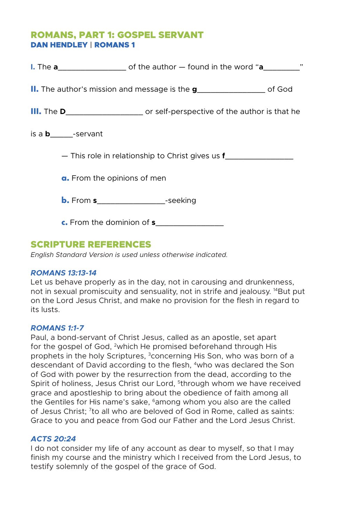## ROMANS, PART 1: GOSPEL SERVANT DAN HENDLEY | ROMANS 1

| <b>II.</b> The author's mission and message is the $g$ ___________________ of God |
|-----------------------------------------------------------------------------------|
|                                                                                   |
| is a <b>b_____</b> -servant                                                       |
| - This role in relationship to Christ gives us <b>f</b>                           |
| a. From the opinions of men                                                       |
| <b>b.</b> From <b>s</b> ____________________-seeking                              |
| <b>c.</b> From the dominion of <b>s</b>                                           |

## SCRIPTURE REFERENCES

*English Standard Version is used unless otherwise indicated.*

## *ROMANS 13:13-14*

Let us behave properly as in the day, not in carousing and drunkenness, not in sexual promiscuity and sensuality, not in strife and jealousy. <sup>14</sup>But put on the Lord Jesus Christ, and make no provision for the flesh in regard to its lusts.

## *ROMANS 1:1-7*

Paul, a bond-servant of Christ Jesus, called as an apostle, set apart for the gospel of God, <sup>2</sup>which He promised beforehand through His prophets in the holy Scriptures, <sup>3</sup>concerning His Son, who was born of a descendant of David according to the flesh, 4who was declared the Son of God with power by the resurrection from the dead, according to the Spirit of holiness, Jesus Christ our Lord, <sup>5</sup>through whom we have received grace and apostleship to bring about the obedience of faith among all the Gentiles for His name's sake, <sup>6</sup>among whom you also are the called of Jesus Christ; 7to all who are beloved of God in Rome, called as saints: Grace to you and peace from God our Father and the Lord Jesus Christ.

## *ACTS 20:24*

I do not consider my life of any account as dear to myself, so that I may finish my course and the ministry which I received from the Lord Jesus, to testify solemnly of the gospel of the grace of God.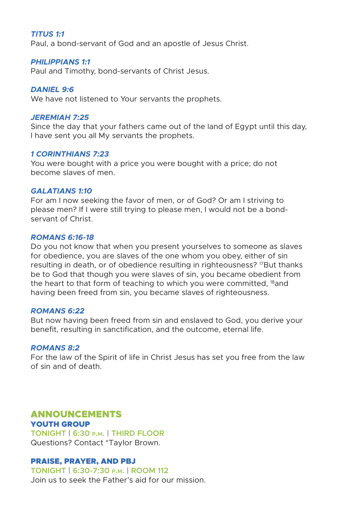## *TITUS 1:1*

Paul, a bond-servant of God and an apostle of Jesus Christ.

#### *PHILIPPIANS 1:1*

Paul and Timothy, bond-servants of Christ Jesus.

## *DANIEL 9:6*

We have not listened to Your servants the prophets.

#### *JEREMIAH 7:25*

Since the day that your fathers came out of the land of Egypt until this day, I have sent you all My servants the prophets.

## *1 CORINTHIANS 7:23*

You were bought with a price you were bought with a price; do not become slaves of men.

#### *GALATIANS 1:10*

For am I now seeking the favor of men, or of God? Or am I striving to please men? If I were still trying to please men, I would not be a bondservant of Christ.

## *ROMANS 6:16-18*

Do you not know that when you present yourselves to someone as slaves for obedience, you are slaves of the one whom you obey, either of sin resulting in death, or of obedience resulting in righteousness?<sup>17</sup>But thanks be to God that though you were slaves of sin, you became obedient from the heart to that form of teaching to which you were committed,  $^{18}$  and having been freed from sin, you became slaves of righteousness.

#### *ROMANS 6:22*

But now having been freed from sin and enslaved to God, you derive your benefit, resulting in sanctification, and the outcome, eternal life.

## *ROMANS 8:2*

For the law of the Spirit of life in Christ Jesus has set you free from the law of sin and of death.

## ANNOUNCEMENTS

YOUTH GROUP **TONIGHT | 6:30 p.m. | THIRD FLOOR** Questions? Contact \*Taylor Brown.

## PRAISE, PRAYER, AND PBJ

**TONIGHT | 6:30-7:30 p.m. | ROOM 112** Join us to seek the Father's aid for our mission.